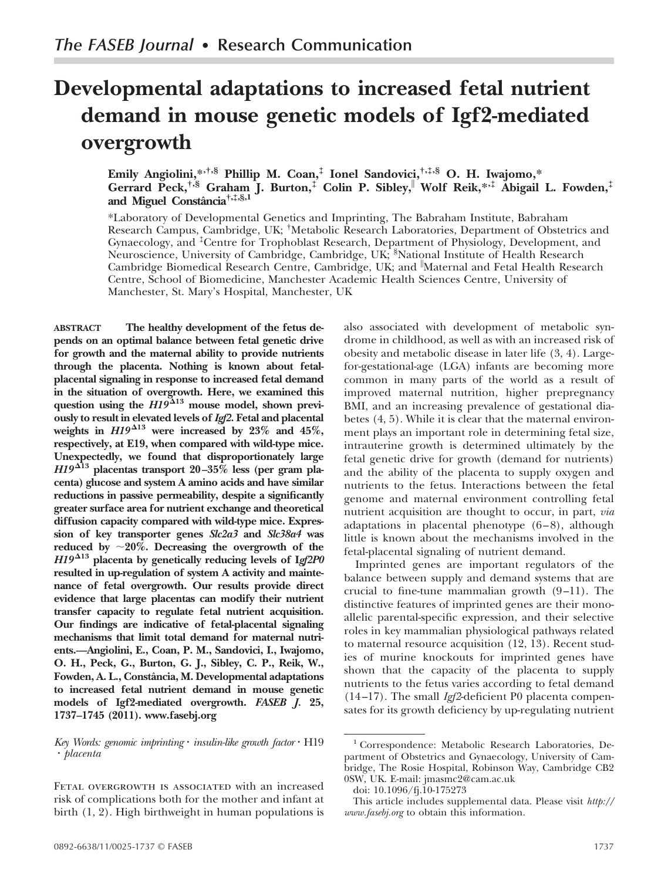# **Developmental adaptations to increased fetal nutrient demand in mouse genetic models of Igf2-mediated overgrowth**

**Emily Angiolini,\*,†,§ Phillip M. Coan,‡ Ionel Sandovici,†,‡,§ O. H. Iwajomo,\* Gerrard Peck,†,§ Graham J. Burton,‡ Colin P. Sibley, Wolf Reik,\*,‡ Abigail L. Fowden,‡ and Miguel Constaˆncia†,‡,§,1**

\*Laboratory of Developmental Genetics and Imprinting, The Babraham Institute, Babraham Research Campus, Cambridge, UK; † Metabolic Research Laboratories, Department of Obstetrics and Gynaecology, and ‡ Centre for Trophoblast Research, Department of Physiology, Development, and Neuroscience, University of Cambridge, Cambridge, UK; <sup>§</sup>National Institute of Health Research Cambridge Biomedical Research Centre, Cambridge, UK; and Maternal and Fetal Health Research Centre, School of Biomedicine, Manchester Academic Health Sciences Centre, University of Manchester, St. Mary's Hospital, Manchester, UK

**ABSTRACT The healthy development of the fetus depends on an optimal balance between fetal genetic drive for growth and the maternal ability to provide nutrients through the placenta. Nothing is known about fetalplacental signaling in response to increased fetal demand in the situation of overgrowth. Here, we examined this question using the** *H19* **<sup>13</sup> mouse model, shown previously to result in elevated levels of** *Igf2***. Fetal and placental** weights in  $H19^{\Delta 13}$  were increased by 23% and 45%, **respectively, at E19, when compared with wild-type mice. Unexpectedly, we found that disproportionately large** *H19* **<sup>13</sup> placentas transport 20–35% less (per gram placenta) glucose and system A amino acids and have similar reductions in passive permeability, despite a significantly greater surface area for nutrient exchange and theoretical diffusion capacity compared with wild-type mice. Expression of key transporter genes** *Slc2a3* **and** *Slc38a4* **was** reduced by  $\sim 20\%$ . Decreasing the overgrowth of the *H19* **<sup>13</sup> placenta by genetically reducing levels of I***gf2P0* **resulted in up-regulation of system A activity and maintenance of fetal overgrowth. Our results provide direct evidence that large placentas can modify their nutrient transfer capacity to regulate fetal nutrient acquisition. Our findings are indicative of fetal-placental signaling mechanisms that limit total demand for maternal nutrients.—Angiolini, E., Coan, P. M., Sandovici, I., Iwajomo, O. H., Peck, G., Burton, G. J., Sibley, C. P., Reik, W., Fowden, A. L., Constaˆncia, M. Developmental adaptations to increased fetal nutrient demand in mouse genetic models of Igf2-mediated overgrowth.** *FASEB J.* **25, 1737–1745 (2011).<www.fasebj.org>**

*Key Words: genomic imprinting insulin-like growth factor* H19 *placenta*

FETAL OVERGROWTH IS ASSOCIATED with an increased risk of complications both for the mother and infant at birth (1, 2). High birthweight in human populations is

also associated with development of metabolic syndrome in childhood, as well as with an increased risk of obesity and metabolic disease in later life (3, 4). Largefor-gestational-age (LGA) infants are becoming more common in many parts of the world as a result of improved maternal nutrition, higher prepregnancy BMI, and an increasing prevalence of gestational diabetes (4, 5). While it is clear that the maternal environment plays an important role in determining fetal size, intrauterine growth is determined ultimately by the fetal genetic drive for growth (demand for nutrients) and the ability of the placenta to supply oxygen and nutrients to the fetus. Interactions between the fetal genome and maternal environment controlling fetal nutrient acquisition are thought to occur, in part, *via* adaptations in placental phenotype (6–8), although little is known about the mechanisms involved in the fetal-placental signaling of nutrient demand.

Imprinted genes are important regulators of the balance between supply and demand systems that are crucial to fine-tune mammalian growth (9–11). The distinctive features of imprinted genes are their monoallelic parental-specific expression, and their selective roles in key mammalian physiological pathways related to maternal resource acquisition (12, 13). Recent studies of murine knockouts for imprinted genes have shown that the capacity of the placenta to supply nutrients to the fetus varies according to fetal demand (14–17). The small *Igf2*-deficient P0 placenta compensates for its growth deficiency by up-regulating nutrient

<sup>&</sup>lt;sup>1</sup> Correspondence: Metabolic Research Laboratories, Department of Obstetrics and Gynaecology, University of Cambridge, The Rosie Hospital, Robinson Way, Cambridge CB2 0SW, UK. E-mail: jmasmc2@cam.ac.uk

doi: 10.1096/fj.10-175273

This article includes supplemental data. Please visit *http:// www.fasebj.org* to obtain this information.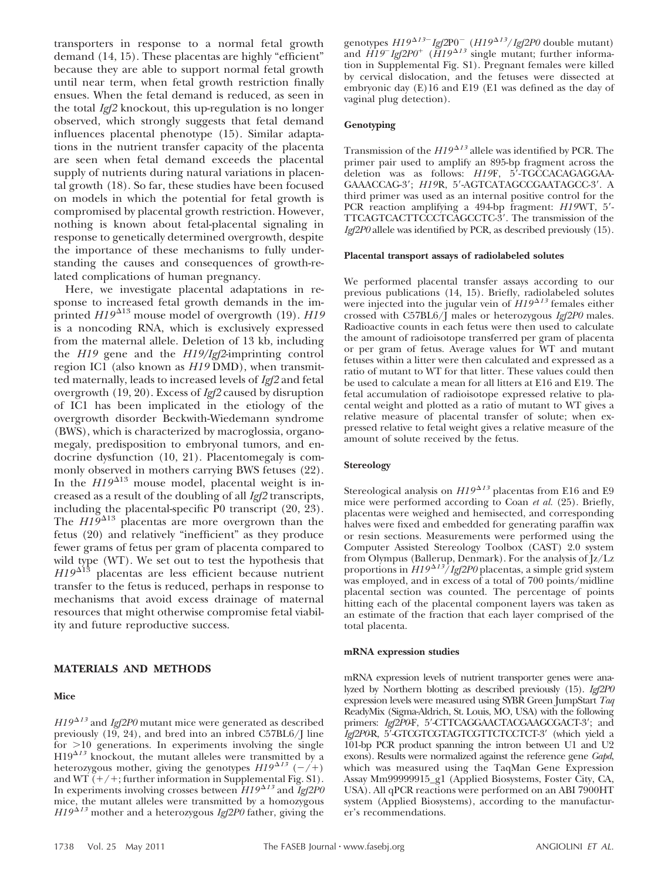transporters in response to a normal fetal growth demand (14, 15). These placentas are highly "efficient" because they are able to support normal fetal growth until near term, when fetal growth restriction finally ensues. When the fetal demand is reduced, as seen in the total *Igf2* knockout, this up-regulation is no longer observed, which strongly suggests that fetal demand influences placental phenotype (15). Similar adaptations in the nutrient transfer capacity of the placenta are seen when fetal demand exceeds the placental supply of nutrients during natural variations in placental growth (18). So far, these studies have been focused on models in which the potential for fetal growth is compromised by placental growth restriction. However, nothing is known about fetal-placental signaling in response to genetically determined overgrowth, despite the importance of these mechanisms to fully understanding the causes and consequences of growth-related complications of human pregnancy.

Here, we investigate placental adaptations in response to increased fetal growth demands in the imprinted  $H19^{\Delta 13}$  mouse model of overgrowth (19). *H19* is a noncoding RNA, which is exclusively expressed from the maternal allele. Deletion of 13 kb, including the *H19* gene and the *H19/Igf2*-imprinting control region IC1 (also known as *H19* DMD), when transmitted maternally, leads to increased levels of *Igf2* and fetal overgrowth (19, 20). Excess of *Igf2* caused by disruption of IC1 has been implicated in the etiology of the overgrowth disorder Beckwith-Wiedemann syndrome (BWS), which is characterized by macroglossia, organomegaly, predisposition to embryonal tumors, and endocrine dysfunction (10, 21). Placentomegaly is commonly observed in mothers carrying BWS fetuses (22). In the  $H19^{\Delta 13}$  mouse model, placental weight is increased as a result of the doubling of all *Igf2* transcripts, including the placental-specific P0 transcript (20, 23). The  $HI<sup>9</sup><sup>413</sup>$  placentas are more overgrown than the fetus (20) and relatively "inefficient" as they produce fewer grams of fetus per gram of placenta compared to wild type (WT). We set out to test the hypothesis that *H19*<sup> $\triangle$ 13</sup> placentas are less efficient because nutrient transfer to the fetus is reduced, perhaps in response to mechanisms that avoid excess drainage of maternal resources that might otherwise compromise fetal viability and future reproductive success.

## **MATERIALS AND METHODS**

#### **Mice**

*H19*<sup> $\Delta$ 13</sup> and *Igf2P0* mutant mice were generated as described previously (19, 24), and bred into an inbred C57BL6/J line for  $>10$  generations. In experiments involving the single  $H19^{\Delta 13}$  knockout, the mutant alleles were transmitted by a heterozygous mother, giving the genotypes  $H19^{\Delta 13}$  (-/+) and WT  $(+/+)$ ; further information in Supplemental Fig. S1). In experiments involving crosses between  $H19^{\Delta 13}$  and  $\overline{I}gf2P0$ mice, the mutant alleles were transmitted by a homozygous *H19*<sup> $\Delta$ *13*</sup> mother and a heterozygous *Igf2P0* father, giving the

 $\frac{1}{2}$ genotypes  $H19^{\Delta 13}$ <sup>-</sup>  $Igf2P0^-$  ( $H19^{\Delta 13}$ */Igf2P0* double mutant) and  $\hat{H}$ 19<sup>*Igf*2P0<sup>+</sup></sup> ( $\hat{H}$ 19<sup> $\Delta$ 13</sup> single mutant; further information in Supplemental Fig. S1). Pregnant females were killed by cervical dislocation, and the fetuses were dissected at embryonic day (E)16 and E19 (E1 was defined as the day of vaginal plug detection).

#### **Genotyping**

Transmission of the  $HI9^{\Delta13}$  allele was identified by PCR. The primer pair used to amplify an 895-bp fragment across the deletion was as follows: *H19F*, 5'-TGCCACAGAGGAA-GAAACCAG-3'; *H19*R, 5'-AGTCATAGCCGAATAGCC-3'. A third primer was used as an internal positive control for the PCR reaction amplifying a 494-bp fragment: *H19*WT, 5- TTCAGTCACTTCCCTCAGCCTC-3'. The transmission of the *Igf2P0* allele was identified by PCR, as described previously (15).

#### **Placental transport assays of radiolabeled solutes**

We performed placental transfer assays according to our previous publications (14, 15). Briefly, radiolabeled solutes were injected into the jugular vein of  $H19^{\Delta 13}$  females either crossed with C57BL6/J males or heterozygous *Igf2P0* males. Radioactive counts in each fetus were then used to calculate the amount of radioisotope transferred per gram of placenta or per gram of fetus. Average values for WT and mutant fetuses within a litter were then calculated and expressed as a ratio of mutant to WT for that litter. These values could then be used to calculate a mean for all litters at E16 and E19. The fetal accumulation of radioisotope expressed relative to placental weight and plotted as a ratio of mutant to WT gives a relative measure of placental transfer of solute; when expressed relative to fetal weight gives a relative measure of the amount of solute received by the fetus.

#### **Stereology**

Stereological analysis on  $H19^{\Delta13}$  placentas from E16 and E9 mice were performed according to Coan *et al.* (25). Briefly, placentas were weighed and hemisected, and corresponding halves were fixed and embedded for generating paraffin wax or resin sections. Measurements were performed using the Computer Assisted Stereology Toolbox (CAST) 2.0 system from Olympus (Ballerup, Denmark). For the analysis of Jz/Lz proportions in  $H19^{\Delta 13}/I$ gf2P0 placentas, a simple grid system was employed, and in excess of a total of 700 points/midline placental section was counted. The percentage of points hitting each of the placental component layers was taken as an estimate of the fraction that each layer comprised of the total placenta.

#### **mRNA expression studies**

mRNA expression levels of nutrient transporter genes were analyzed by Northern blotting as described previously (15). *Igf2P0* expression levels were measured using SYBR Green JumpStart *Taq* ReadyMix (Sigma-Aldrich, St. Louis, MO, USA) with the following primers: *Igf2P0F*, 5'-CTTCAGGAACTACGAAGCGACT-3'; and *Igf2P0*-R, 5-GTCGTCGTAGTCGTTCTCCTCT-3 (which yield a 101-bp PCR product spanning the intron between U1 and U2 exons). Results were normalized against the reference gene *Gapd*, which was measured using the TaqMan Gene Expression Assay Mm99999915\_g1 (Applied Biosystems, Foster City, CA, USA). All qPCR reactions were performed on an ABI 7900HT system (Applied Biosystems), according to the manufacturer's recommendations.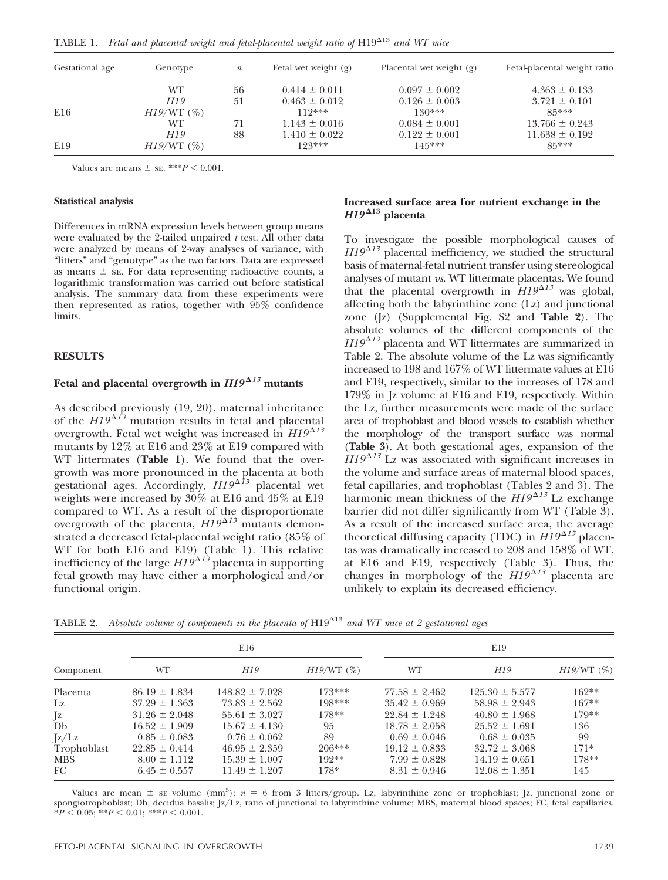TABLE 1. Fetal and placental weight and fetal-placental weight ratio of H19<sup>A13</sup> and WT mice

| Gestational age | Genotype  | $\boldsymbol{n}$ | Fetal wet weight $(g)$ | Placental wet weight (g) | Fetal-placental weight ratio |  |
|-----------------|-----------|------------------|------------------------|--------------------------|------------------------------|--|
|                 | WТ        | 56               | $0.414 \pm 0.011$      | $0.097 \pm 0.002$        | $4.363 \pm 0.133$            |  |
|                 | H19       | 51               | $0.463 \pm 0.012$      | $0.126 \pm 0.003$        | $3.721 \pm 0.101$            |  |
| E16             | H19/WT(%) |                  | $119***$               | $130***$                 | $85***$                      |  |
|                 | WТ        | 71               | $1.143 \pm 0.016$      | $0.084 \pm 0.001$        | $13.766 \pm 0.243$           |  |
|                 | H19       | 88               | $1.410 \pm 0.022$      | $0.122 \pm 0.001$        | $11.638 \pm 0.192$           |  |
| E19             | H19/WT(%) |                  | $123***$               | $145***$                 | $85***$                      |  |

Values are means  $\pm$  se. \*\*\**P* < 0.001.

#### **Statistical analysis**

Differences in mRNA expression levels between group means were evaluated by the 2-tailed unpaired *t* test. All other data were analyzed by means of 2-way analyses of variance, with "litters" and "genotype" as the two factors. Data are expressed as means  $\pm$  se. For data representing radioactive counts, a logarithmic transformation was carried out before statistical analysis. The summary data from these experiments were then represented as ratios, together with 95% confidence limits.

## **RESULTS**

## Fetal and placental overgrowth in  $H19^{\Delta13}$  mutants

As described previously (19, 20), maternal inheritance of the  $H19^{\Delta f3}$  mutation results in fetal and placental overgrowth. Fetal wet weight was increased in  $HI9^{\Delta 13}$ mutants by 12% at E16 and 23% at E19 compared with WT littermates (**Table 1**). We found that the overgrowth was more pronounced in the placenta at both gestational ages. Accordingly,  $H19^{\Delta \hat{1}3}$  placental wet weights were increased by 30% at E16 and 45% at E19 compared to WT. As a result of the disproportionate overgrowth of the placenta,  $HI9^{\Delta 13}$  mutants demonstrated a decreased fetal-placental weight ratio (85% of WT for both E16 and E19) (Table 1). This relative inefficiency of the large  $H19^{\Delta 13}$  placenta in supporting fetal growth may have either a morphological and/or functional origin.

## **Increased surface area for nutrient exchange in the**  $H19^{\Delta 13}$  placenta

To investigate the possible morphological causes of  $H19^{\Delta 13}$  placental inefficiency, we studied the structural basis of maternal-fetal nutrient transfer using stereological analyses of mutant *vs.* WT littermate placentas. We found that the placental overgrowth in  $H19^{\Delta 13}$  was global, affecting both the labyrinthine zone (Lz) and junctional zone (Jz) (Supplemental Fig. S2 and **Table 2**). The absolute volumes of the different components of the *H19*<sup> $\Delta$ 13</sup> placenta and WT littermates are summarized in Table 2. The absolute volume of the Lz was significantly increased to 198 and 167% of WT littermate values at E16 and E19, respectively, similar to the increases of 178 and 179% in Jz volume at E16 and E19, respectively. Within the Lz, further measurements were made of the surface area of trophoblast and blood vessels to establish whether the morphology of the transport surface was normal (**Table 3**). At both gestational ages, expansion of the  $H19^{\Delta 13}$  Lz was associated with significant increases in the volume and surface areas of maternal blood spaces, fetal capillaries, and trophoblast (Tables 2 and 3). The harmonic mean thickness of the  $HI9^{\Delta 13}$  Lz exchange barrier did not differ significantly from WT (Table 3). As a result of the increased surface area, the average theoretical diffusing capacity (TDC) in  $HI9^{\Delta 13}$  placentas was dramatically increased to 208 and 158% of WT, at E16 and E19, respectively (Table 3). Thus, the changes in morphology of the  $HI9^{\Delta 13}$  placenta are unlikely to explain its decreased efficiency.

TABLE 2. Absolute volume of components in the placenta of H19<sup> $\Delta$ 13</sup> and WT mice at 2 gestational ages

| Component   |                   | E16                |              | E19               |                    |              |  |
|-------------|-------------------|--------------------|--------------|-------------------|--------------------|--------------|--|
|             | WT                | H19                | $H19/WT$ (%) | WT                | H <sub>19</sub>    | $H19/WT$ (%) |  |
| Placenta    | $86.19 \pm 1.834$ | $148.82 \pm 7.028$ | $173***$     | $77.58 \pm 2.462$ | $125.30 \pm 5.577$ | $162**$      |  |
| Lz          | $37.29 \pm 1.363$ | $73.83 \pm 2.562$  | $198***$     | $35.42 \pm 0.969$ | $58.98 \pm 2.943$  | $167**$      |  |
| $\int z$    | $31.26 \pm 2.048$ | $55.61 \pm 3.027$  | $178**$      | $22.84 \pm 1.248$ | $40.80 + 1.968$    | $179**$      |  |
| Db          | $16.52 \pm 1.909$ | $15.67 \pm 4.130$  | 95           | $18.78 \pm 2.058$ | $25.52 \pm 1.691$  | 136          |  |
| $\rm{z/Lz}$ | $0.85 \pm 0.083$  | $0.76 \pm 0.062$   | 89           | $0.69 \pm 0.046$  | $0.68 \pm 0.035$   | 99           |  |
| Trophoblast | $22.85 \pm 0.414$ | $46.95 \pm 2.359$  | $206***$     | $19.12 \pm 0.833$ | $32.72 \pm 3.068$  | $171*$       |  |
| <b>MBS</b>  | $8.00 \pm 1.112$  | $15.39 \pm 1.007$  | $192**$      | $7.99 \pm 0.828$  | $14.19 \pm 0.651$  | $178**$      |  |
| FC.         | $6.45 \pm 0.557$  | $11.49 \pm 1.207$  | $178*$       | $8.31 \pm 0.946$  | $12.08 \pm 1.351$  | 145          |  |

Values are mean  $\pm$  se volume (mm<sup>3</sup>);  $n = 6$  from 3 litters/group. Lz, labyrinthine zone or trophoblast; Jz, junctional zone or spongiotrophoblast; Db, decidua basalis; Jz/Lz, ratio of junctional to labyrinthine volume; MBS, maternal blood spaces; FC, fetal capillaries.  $*P < 0.05$ ;  $*P < 0.01$ ;  $*P < 0.001$ .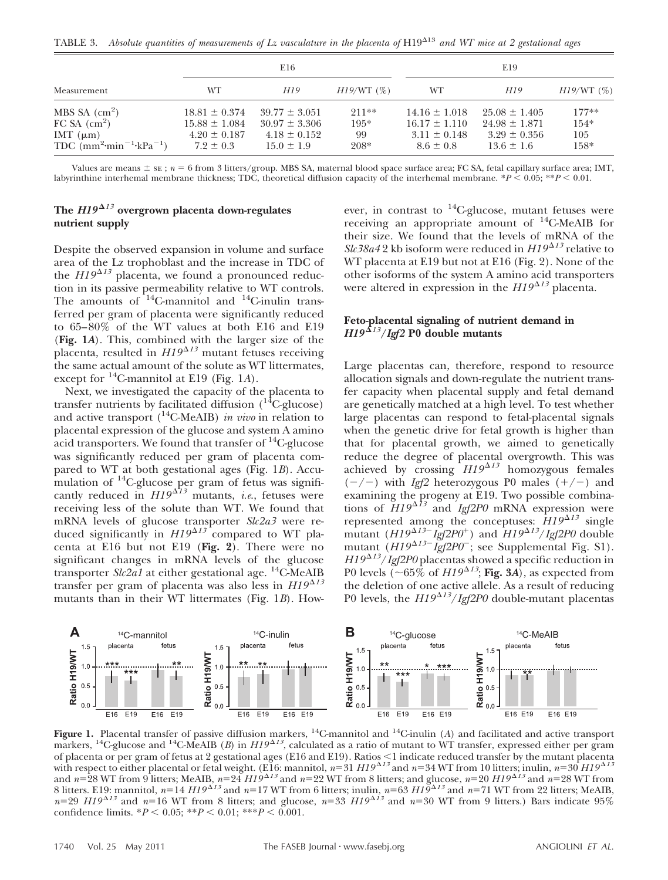TABLE 3. Absolute quantities of measurements of Lz vasculature in the placenta of H19<sup>A13</sup> and WT mice at 2 gestational ages

|                                                                                                                | E16                                                                         |                                                                              |                                   | E19                                                                         |                                                                              |                                  |
|----------------------------------------------------------------------------------------------------------------|-----------------------------------------------------------------------------|------------------------------------------------------------------------------|-----------------------------------|-----------------------------------------------------------------------------|------------------------------------------------------------------------------|----------------------------------|
| Measurement                                                                                                    | WТ                                                                          | H19                                                                          | $H19/WT$ (%)                      | WT                                                                          | H19                                                                          | $H19/WT$ (%)                     |
| MBS SA $\rm (cm^2)$<br>FC SA (cm <sup>2</sup> )<br>IMT $(\mu m)$<br>TDC $(mm^2 \cdot min^{-1} \cdot kPa^{-1})$ | $18.81 \pm 0.374$<br>$15.88 \pm 1.084$<br>$4.20 \pm 0.187$<br>$7.2 \pm 0.3$ | $39.77 \pm 3.051$<br>$30.97 \pm 3.306$<br>$4.18 \pm 0.152$<br>$15.0 \pm 1.9$ | $211**$<br>$195*$<br>99<br>$208*$ | $14.16 \pm 1.018$<br>$16.17 \pm 1.110$<br>$3.11 \pm 0.148$<br>$8.6 \pm 0.8$ | $25.08 \pm 1.405$<br>$24.98 \pm 1.871$<br>$3.29 \pm 0.356$<br>$13.6 \pm 1.6$ | $177**$<br>$154*$<br>105<br>158* |

Values are means  $\pm$  se;  $n = 6$  from 3 litters/group. MBS SA, maternal blood space surface area; FC SA, fetal capillary surface area; IMT, labyrinthine interhemal membrane thickness; TDC, theoretical diffusion capacity of the interhemal membrane.  $*P < 0.05$ ;  $*P < 0.01$ .

# **The** *H19 <sup>13</sup>* **overgrown placenta down-regulates nutrient supply**

Despite the observed expansion in volume and surface area of the Lz trophoblast and the increase in TDC of the  $HI9^{\Delta 13}$  placenta, we found a pronounced reduction in its passive permeability relative to WT controls. The amounts of  $14$ C-mannitol and  $14$ C-inulin transferred per gram of placenta were significantly reduced to 65–80% of the WT values at both E16 and E19 (**Fig. 1***A*). This, combined with the larger size of the placenta, resulted in  $H19^{\Delta 13}$  mutant fetuses receiving the same actual amount of the solute as WT littermates, except for 14C-mannitol at E19 (Fig. 1*A*).

Next, we investigated the capacity of the placenta to transfer nutrients by facilitated diffusion  $(^{14}C$ -glucose) and active transport  $(^{14}C\text{-MeAIB})$  *in vivo* in relation to placental expression of the glucose and system A amino acid transporters. We found that transfer of  $^{14}$ C-glucose was significantly reduced per gram of placenta compared to WT at both gestational ages (Fig. 1*B*). Accumulation of 14C-glucose per gram of fetus was significantly reduced in  $H19^{\Delta T}$  mutants, *i.e.*, fetuses were receiving less of the solute than WT. We found that mRNA levels of glucose transporter *Slc2a3* were reduced significantly in  $H19^{\Delta13}$  compared to WT placenta at E16 but not E19 (**Fig. 2**). There were no significant changes in mRNA levels of the glucose transporter *Slc2a1* at either gestational age. 14C-MeAIB transfer per gram of placenta was also less in  $H19^{\Delta 13}$ mutants than in their WT littermates (Fig. 1*B*). However, in contrast to  $^{14}$ C-glucose, mutant fetuses were receiving an appropriate amount of  $^{14}$ C-MeAIB for their size. We found that the levels of mRNA of the  $Slc38a42$  kb isoform were reduced in  $H19^{\Delta13}$  relative to WT placenta at E19 but not at E16 (Fig. 2). None of the other isoforms of the system A amino acid transporters were altered in expression in the  $HI9^{\Delta 13}$  placenta.

# **Feto-placental signaling of nutrient demand in**  $H19^{\Delta 13}/Igf2$  P0 double mutants

Large placentas can, therefore, respond to resource allocation signals and down-regulate the nutrient transfer capacity when placental supply and fetal demand are genetically matched at a high level. To test whether large placentas can respond to fetal-placental signals when the genetic drive for fetal growth is higher than that for placental growth, we aimed to genetically reduce the degree of placental overgrowth. This was achieved by crossing  $H19^{\Delta 13}$  homozygous females  $(-/-)$  with *Igf2* heterozygous P0 males  $(+/-)$  and examining the progeny at E19. Two possible combinations of  $HI9^{\Delta 13}$  and *Igf2P0* mRNA expression were represented among the conceptuses:  $\hat{H}19^{\Delta 13}$  single  $\frac{1}{2}$  mutant (*H19*<sup> $\Delta$ 13-*Igf*2*P0*<sup>+</sup>) and *H19* $\frac{\Delta}{3}$ /*Igf2P0* double</sup> mutant  $(H19^{\Delta 13}$ <sup>-</sup> *Igf2P0*<sup>-</sup>; see Supplemental Fig. S1). *H19<sup>^13</sup>*/*Igf2P0* placentas showed a specific reduction in P0 levels  $\propto 65\%$  of  $H19^{\Delta13}$ ; Fig. 3A), as expected from the deletion of one active allele. As a result of reducing P0 levels, the  $H19^{\Delta13}/Igf2P0$  double-mutant placentas



**Figure 1.** Placental transfer of passive diffusion markers, 14C-mannitol and 14C-inulin (*A*) and facilitated and active transport markers, <sup>14</sup>C-glucose and <sup>14</sup>C-MeAIB (B) in  $H19^{\Delta13}$ , calculated as a ratio of mutant to WT transfer, expressed either per gram of placenta or per gram of fetus at 2 gestational ages (E16 and E19). Ratios  $\leq$ 1 indicate reduced transfer by the mutant placenta with respect to either placental or fetal weight. (E16: mannitol,  $n=31$   $H19^{\Delta13}$  and  $n=34$  WT from 10 litters; inulin,  $n=30$   $H19^{\Delta13}$ and  $n=$  28 WT from 9 litters; MeAIB,  $n=$  24  $H19^{\Delta13}$  and  $n=$  22 WT from 8 litters; and glucose,  $n=$  20  $H19^{\Delta13}$  and  $n=$  28 WT from 8 litters. E19: mannitol,  $n=14$   $H19^{\Delta13}$  and  $n=17$  WT from 6 litters; inulin,  $n=63$   $H19^{\Delta13}$  and  $n=71$  WT from 22 litters; MeAIB,  $n=29$  *H19*<sup> $\Delta13$ </sup> and  $n=16$  WT from 8 litters; and glucose,  $n=33$  *H19* $\Delta^{13}$  and  $n=30$  WT from 9 litters.) Bars indicate 95% confidence limits.  $*P < 0.05$ ;  $**P < 0.01$ ;  $***P < 0.001$ .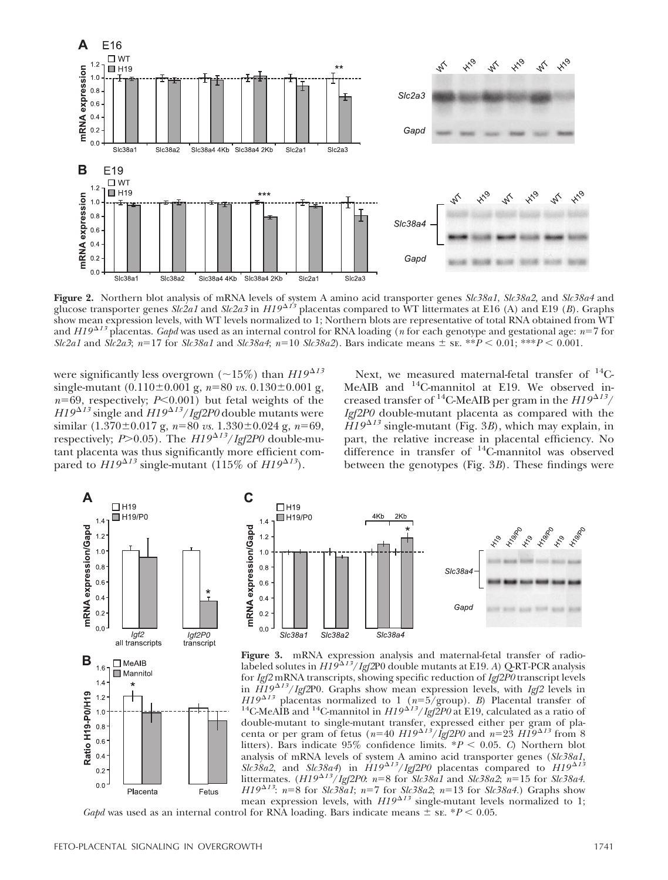

**Figure 2.** Northern blot analysis of mRNA levels of system A amino acid transporter genes *Slc38a1*, *Slc38a2,* and *Slc38a4* and glucose transporter genes *Slc2a1* and *Slc2a3* in *H19<sup>^13</sup>* placentas compared to WT littermates at E16 (A) and E19 (*B*). Graphs show mean expression levels, with WT levels normalized to 1; Northern blots are representative of total RNA obtained from WT and *H19<sup>^13</sup>* placentas. *Gapd* was used as an internal control for RNA loading (*n* for each genotype and gestational age: *n*=7 for *Slc2a1* and *Slc2a3*; *n*=17 for *Slc38a1* and *Slc38a4*; *n*=10 *Slc38a2*). Bars indicate means  $\pm$  *s***c**. \*\**P*  $\leq$  0.01; \*\**P*  $\leq$  0.001.

were significantly less overgrown ( $\sim$ 15%) than  $H19^{\Delta13}$ single-mutant  $(0.110 \pm 0.001 \text{ g}, n=80 \text{ vs. } 0.130 \pm 0.001 \text{ g},$  $n=69$ , respectively;  $P<0.001$ ) but fetal weights of the  $H19^{\Delta 13}$  single and  $H19^{\Delta 13}/Igf2P0$  double mutants were similar  $(1.370 \pm 0.017 \text{ g}, n=80 \text{ vs. } 1.330 \pm 0.024 \text{ g}, n=69,$ respectively; *P*>0.05). The *H19*<sup> $\Delta$ 13</sup>/*Igf2P0* double-mutant placenta was thus significantly more efficient compared to  $H19^{\Delta 13}$  single-mutant (115% of  $H19^{\Delta 13}$ ).

Next, we measured maternal-fetal transfer of  $^{14}$ C-MeAIB and <sup>14</sup>C-mannitol at E19. We observed increased transfer of <sup>14</sup>C-MeAIB per gram in the  $HI9^{\Delta 13}/$ *Igf2P0* double-mutant placenta as compared with the  $\widetilde{H}19^{\Delta 13}$  single-mutant (Fig. 3*B*), which may explain, in part, the relative increase in placental efficiency. No difference in transfer of  $14C$ -mannitol was observed between the genotypes (Fig. 3*B*). These findings were





Figure 3. mRNA expression analysis and maternal-fetal transfer of radiolabeled solutes in  $H19^{\Delta13}/\mathit{Igf2P0}$  double mutants at E19. *A*) Q-RT-PCR analysis for *Igf2* mRNA transcripts, showing specific reduction of *Igf2P0* transcript levels in *H19* -*<sup>13</sup>*/*Igf2*P0. Graphs show mean expression levels, with *Igf2* levels in *H19*<sup> $\triangle$ 13</sup> placentas normalized to 1 ( $n=5$ /group). *B*) Placental transfer of <sup>14</sup>C-MeAIB and <sup>14</sup>C-mannitol in *H19*<sup> $\triangle$ 13</sup>/*Igf2P0* at E19, calculated as a ratio of double-mutant to single-mutant transfer, expressed either per gram of pla-<br>centa or per gram of fetus ( $n=40 H19^{\Delta13}/\text{Igf2P0}$  and  $n=23 H19^{\Delta13}$  from 8 litters). Bars indicate  $95\%$  confidence limits.  $*P < 0.05$ . *C*) Northern blot analysis of mRNA levels of system A amino acid transporter genes (*Slc38a1*,  $Slc38a2$ , and  $Slc38a4$ ) in  $H19^{\Delta 13}/Igf2P0$  placentas compared to  $H19^{\Delta 13}$ littermates.  $(H19^{\Delta 13}/Igf2P0: n=8$  for *Slc38a1* and *Slc38a2*;  $n=15$  for *Slc38a4*. *H19*<sup> $\Delta$ 13</sup>: *n*=8 for *Slc38a1*; *n*=7 for *Slc38a2*; *n*=13 for *Slc38a4*.) Graphs show mean expression levels, with  $H19^{\Delta 13}$  single-mutant levels normalized to 1;

*Gapd* was used as an internal control for RNA loading. Bars indicate means  $\pm$  se. \**P* < 0.05.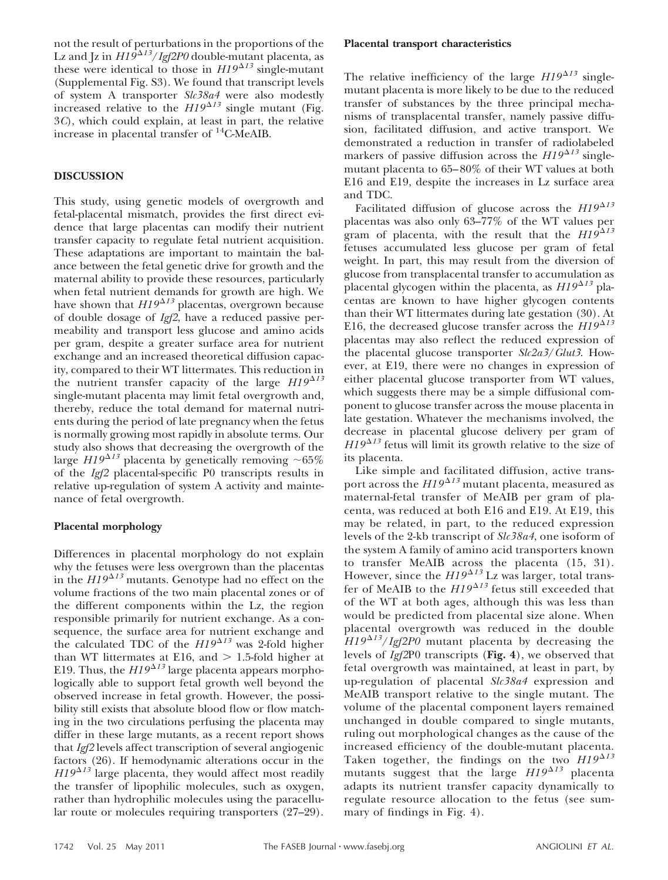not the result of perturbations in the proportions of the Lz and Jz in  $H19^{\Delta13}/I$ gf2P0 double-mutant placenta, as these were identical to those in  $HI9^{\Delta 13}$  single-mutant (Supplemental Fig. S3). We found that transcript levels of system A transporter *Slc38a4* were also modestly increased relative to the  $H19^{\Delta13}$  single mutant (Fig. 3*C*), which could explain, at least in part, the relative increase in placental transfer of 14C-MeAIB.

## **DISCUSSION**

This study, using genetic models of overgrowth and fetal-placental mismatch, provides the first direct evidence that large placentas can modify their nutrient transfer capacity to regulate fetal nutrient acquisition. These adaptations are important to maintain the balance between the fetal genetic drive for growth and the maternal ability to provide these resources, particularly when fetal nutrient demands for growth are high. We have shown that  $H19^{\Delta 13}$  placentas, overgrown because of double dosage of *Igf2*, have a reduced passive permeability and transport less glucose and amino acids per gram, despite a greater surface area for nutrient exchange and an increased theoretical diffusion capacity, compared to their WT littermates. This reduction in the nutrient transfer capacity of the large  $H19^{\Delta 13}$ single-mutant placenta may limit fetal overgrowth and, thereby, reduce the total demand for maternal nutrients during the period of late pregnancy when the fetus is normally growing most rapidly in absolute terms. Our study also shows that decreasing the overgrowth of the large  $HI9^{\Delta 13}$  placenta by genetically removing  $\sim 65\%$ of the *Igf2* placental-specific P0 transcripts results in relative up-regulation of system A activity and maintenance of fetal overgrowth.

# **Placental morphology**

Differences in placental morphology do not explain why the fetuses were less overgrown than the placentas in the  $HI9^{\Delta 13}$  mutants. Genotype had no effect on the volume fractions of the two main placental zones or of the different components within the Lz, the region responsible primarily for nutrient exchange. As a consequence, the surface area for nutrient exchange and the calculated TDC of the  $HI9^{\Delta 13}$  was 2-fold higher than WT littermates at E16, and  $> 1.5$ -fold higher at E19. Thus, the  $HI9^{\Delta 13}$  large placenta appears morphologically able to support fetal growth well beyond the observed increase in fetal growth. However, the possibility still exists that absolute blood flow or flow matching in the two circulations perfusing the placenta may differ in these large mutants, as a recent report shows that *Igf2* levels affect transcription of several angiogenic factors (26). If hemodynamic alterations occur in the  $H19^{\Delta 13}$  large placenta, they would affect most readily the transfer of lipophilic molecules, such as oxygen, rather than hydrophilic molecules using the paracellular route or molecules requiring transporters (27–29).

#### **Placental transport characteristics**

The relative inefficiency of the large  $H19^{\Delta 13}$  singlemutant placenta is more likely to be due to the reduced transfer of substances by the three principal mechanisms of transplacental transfer, namely passive diffusion, facilitated diffusion, and active transport. We demonstrated a reduction in transfer of radiolabeled markers of passive diffusion across the  $H19^{\Delta 13}$  singlemutant placenta to 65–80% of their WT values at both E16 and E19, despite the increases in Lz surface area and TDC.

Facilitated diffusion of glucose across the  $H19^{\Delta 13}$ placentas was also only 63–77% of the WT values per gram of placenta, with the result that the  $HI\dot{9}^{\Delta 13}$ fetuses accumulated less glucose per gram of fetal weight. In part, this may result from the diversion of glucose from transplacental transfer to accumulation as placental glycogen within the placenta, as  $H19^{\Delta 13}$  placentas are known to have higher glycogen contents than their WT littermates during late gestation (30). At E16, the decreased glucose transfer across the  $HI9^{\Delta 13}$ placentas may also reflect the reduced expression of the placental glucose transporter *Slc2a3*/*Glut3*. However, at E19, there were no changes in expression of either placental glucose transporter from WT values, which suggests there may be a simple diffusional component to glucose transfer across the mouse placenta in late gestation. Whatever the mechanisms involved, the decrease in placental glucose delivery per gram of  $H19^{\Delta 13}$  fetus will limit its growth relative to the size of its placenta.

Like simple and facilitated diffusion, active transport across the  $H19^{\Delta 13}$  mutant placenta, measured as maternal-fetal transfer of MeAIB per gram of placenta, was reduced at both E16 and E19. At E19, this may be related, in part, to the reduced expression levels of the 2-kb transcript of *Slc38a4*, one isoform of the system A family of amino acid transporters known to transfer MeAIB across the placenta (15, 31). However, since the  $H19^{\Delta13}$  Lz was larger, total transfer of MeAIB to the  $HI9^{\Delta 13}$  fetus still exceeded that of the WT at both ages, although this was less than would be predicted from placental size alone. When placental overgrowth was reduced in the double *H19<sup>813</sup>/Igf2P0* mutant placenta by decreasing the levels of *Igf2*P0 transcripts (**Fig. 4**), we observed that fetal overgrowth was maintained, at least in part, by up-regulation of placental *Slc38a4* expression and MeAIB transport relative to the single mutant. The volume of the placental component layers remained unchanged in double compared to single mutants, ruling out morphological changes as the cause of the increased efficiency of the double-mutant placenta. Taken together, the findings on the two  $H19^{\Delta 13}$ mutants suggest that the large  $H19^{\Delta 13}$  placenta adapts its nutrient transfer capacity dynamically to regulate resource allocation to the fetus (see summary of findings in Fig. 4).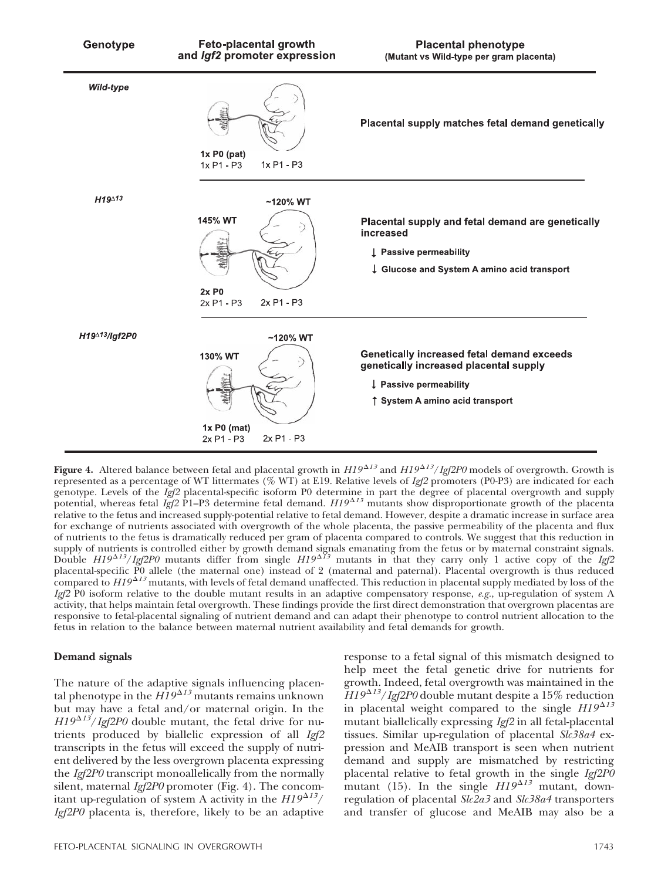

Figure 4. Altered balance between fetal and placental growth in  $H19^{\Delta13}$  and  $H19^{\Delta13}/Igf2P0$  models of overgrowth. Growth is represented as a percentage of WT littermates (% WT) at E19. Relative levels of *Igf2* promoters (P0-P3) are indicated for each genotype. Levels of the *Igf2* placental-specific isoform P0 determine in part the degree of placental overgrowth and supply<br>potential, whereas fetal *Igf2* P1–P3 determine fetal demand. *H19<sup>∆13</sup>* mutants show disproporti relative to the fetus and increased supply-potential relative to fetal demand. However, despite a dramatic increase in surface area for exchange of nutrients associated with overgrowth of the whole placenta, the passive permeability of the placenta and flux of nutrients to the fetus is dramatically reduced per gram of placenta compared to controls. We suggest that this reduction in supply of nutrients is controlled either by growth demand signals emanating from the fetus or by maternal constraint signals.<br>Double *H19<sup>^13</sup>/Igf2P0* mutants differ from single *H19<sup>^13</sup>* mutants in that they carry only 1 placental-specific P0 allele (the maternal one) instead of 2 (maternal and paternal). Placental overgrowth is thus reduced compared to *H19<sup>^13</sup>* mutants, with levels of fetal demand unaffected. This reduction in placental supply mediated by loss of the *Igf2* P0 isoform relative to the double mutant results in an adaptive compensatory response, *e.g.*, up-regulation of system A activity, that helps maintain fetal overgrowth. These findings provide the first direct demonstration that overgrown placentas are responsive to fetal-placental signaling of nutrient demand and can adapt their phenotype to control nutrient allocation to the fetus in relation to the balance between maternal nutrient availability and fetal demands for growth.

## **Demand signals**

The nature of the adaptive signals influencing placental phenotype in the  $H19^{\Delta 13}$  mutants remains unknown but may have a fetal and/or maternal origin. In the  $H19^{\Delta 13}$ /*Igf2P0* double mutant, the fetal drive for nutrients produced by biallelic expression of all *Igf2* transcripts in the fetus will exceed the supply of nutrient delivered by the less overgrown placenta expressing the *Igf2P0* transcript monoallelically from the normally silent, maternal *Igf2P0* promoter (Fig. 4). The concomitant up-regulation of system A activity in the  $HI9^{\Delta 13}/$ *Igf2P0* placenta is, therefore, likely to be an adaptive

response to a fetal signal of this mismatch designed to help meet the fetal genetic drive for nutrients for growth. Indeed, fetal overgrowth was maintained in the  $H19^{\Delta 13}/Igf2P0$  double mutant despite a 15% reduction in placental weight compared to the single  $H19^{\Delta 13}$ mutant biallelically expressing *Igf2* in all fetal-placental tissues. Similar up-regulation of placental *Slc38a4* expression and MeAIB transport is seen when nutrient demand and supply are mismatched by restricting placental relative to fetal growth in the single *Igf2P0* mutant (15). In the single  $HI9^{\Delta 13}$  mutant, downregulation of placental *Slc2a3* and *Slc38a4* transporters and transfer of glucose and MeAIB may also be a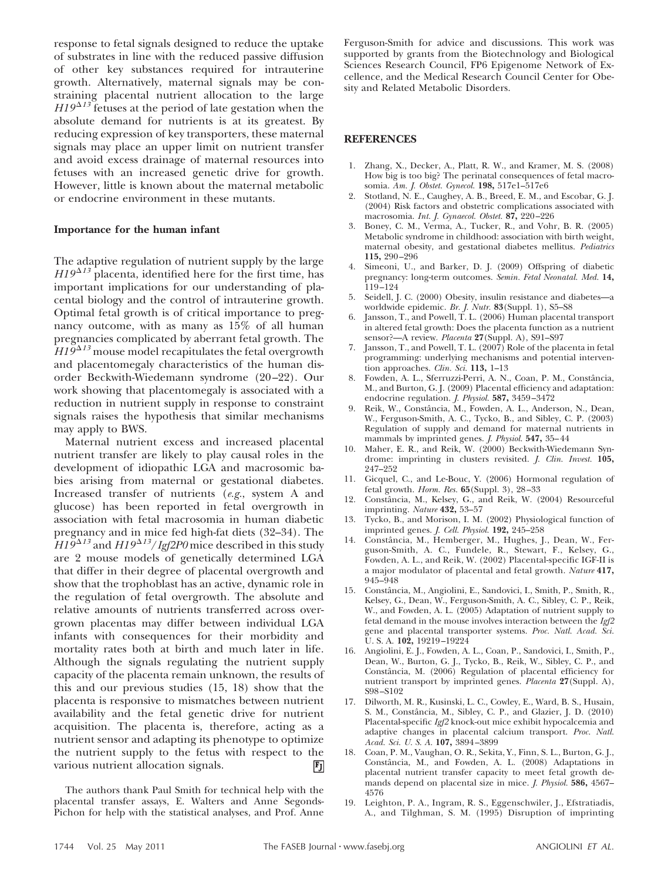response to fetal signals designed to reduce the uptake of substrates in line with the reduced passive diffusion of other key substances required for intrauterine growth. Alternatively, maternal signals may be constraining placental nutrient allocation to the large  $H19^{\Delta 13}$  fetuses at the period of late gestation when the absolute demand for nutrients is at its greatest. By reducing expression of key transporters, these maternal signals may place an upper limit on nutrient transfer and avoid excess drainage of maternal resources into fetuses with an increased genetic drive for growth. However, little is known about the maternal metabolic or endocrine environment in these mutants.

## **Importance for the human infant**

The adaptive regulation of nutrient supply by the large  $H19^{\Delta 13}$  placenta, identified here for the first time, has important implications for our understanding of placental biology and the control of intrauterine growth. Optimal fetal growth is of critical importance to pregnancy outcome, with as many as 15% of all human pregnancies complicated by aberrant fetal growth. The *H19<sup>\\t3</sup>* mouse model recapitulates the fetal overgrowth and placentomegaly characteristics of the human disorder Beckwith-Wiedemann syndrome (20–22). Our work showing that placentomegaly is associated with a reduction in nutrient supply in response to constraint signals raises the hypothesis that similar mechanisms may apply to BWS.

Maternal nutrient excess and increased placental nutrient transfer are likely to play causal roles in the development of idiopathic LGA and macrosomic babies arising from maternal or gestational diabetes. Increased transfer of nutrients (*e.g.*, system A and glucose) has been reported in fetal overgrowth in association with fetal macrosomia in human diabetic pregnancy and in mice fed high-fat diets (32–34). The  $H19^{\Delta 13}$  and  $H19^{\Delta 13}/Igf2P0$  mice described in this study are 2 mouse models of genetically determined LGA that differ in their degree of placental overgrowth and show that the trophoblast has an active, dynamic role in the regulation of fetal overgrowth. The absolute and relative amounts of nutrients transferred across overgrown placentas may differ between individual LGA infants with consequences for their morbidity and mortality rates both at birth and much later in life. Although the signals regulating the nutrient supply capacity of the placenta remain unknown, the results of this and our previous studies (15, 18) show that the placenta is responsive to mismatches between nutrient availability and the fetal genetic drive for nutrient acquisition. The placenta is, therefore, acting as a nutrient sensor and adapting its phenotype to optimize the nutrient supply to the fetus with respect to the various nutrient allocation signals.  $\mathbf{F}$ 

The authors thank Paul Smith for technical help with the placental transfer assays, E. Walters and Anne Segonds-Pichon for help with the statistical analyses, and Prof. Anne Ferguson-Smith for advice and discussions. This work was supported by grants from the Biotechnology and Biological Sciences Research Council, FP6 Epigenome Network of Excellence, and the Medical Research Council Center for Obesity and Related Metabolic Disorders.

## **REFERENCES**

- 1. Zhang, X., Decker, A., Platt, R. W., and Kramer, M. S. (2008) How big is too big? The perinatal consequences of fetal macrosomia. *Am. J. Obstet. Gynecol.* **198,** 517e1–517e6
- 2. Stotland, N. E., Caughey, A. B., Breed, E. M., and Escobar, G. J. (2004) Risk factors and obstetric complications associated with macrosomia. *Int. J. Gynaecol. Obstet.* **87,** 220–226
- 3. Boney, C. M., Verma, A., Tucker, R., and Vohr, B. R. (2005) Metabolic syndrome in childhood: association with birth weight, maternal obesity, and gestational diabetes mellitus. *Pediatrics* **115,** 290–296
- 4. Simeoni, U., and Barker, D. J. (2009) Offspring of diabetic pregnancy: long-term outcomes. *Semin. Fetal Neonatal. Med.* **14,** 119–124
- 5. Seidell, J. C. (2000) Obesity, insulin resistance and diabetes—a worldwide epidemic. *Br. J. Nutr.* **83**(Suppl. 1), S5–S8
- 6. Jansson, T., and Powell, T. L. (2006) Human placental transport in altered fetal growth: Does the placenta function as a nutrient sensor?—A review. *Placenta* **27**(Suppl. A), S91–S97
- 7. Jansson, T., and Powell, T. L. (2007) Role of the placenta in fetal programming: underlying mechanisms and potential intervention approaches. *Clin. Sci.* **113,** 1–13
- 8. Fowden, A. L., Sferruzzi-Perri, A. N., Coan, P. M., Constância, M., and Burton, G. J. (2009) Placental efficiency and adaptation: endocrine regulation. *J. Physiol.* **587,** 3459–3472
- Reik, W., Constância, M., Fowden, A. L., Anderson, N., Dean, W., Ferguson-Smith, A. C., Tycko, B., and Sibley, C. P. (2003) Regulation of supply and demand for maternal nutrients in mammals by imprinted genes. *J. Physiol.* **547,** 35–44
- 10. Maher, E. R., and Reik, W. (2000) Beckwith-Wiedemann Syndrome: imprinting in clusters revisited. *J. Clin. Invest.* **105,** 247–252
- 11. Gicquel, C., and Le-Bouc, Y. (2006) Hormonal regulation of fetal growth. *Horm. Res.* **65**(Suppl. 3), 28–33
- 12. Constaˆncia, M., Kelsey, G., and Reik, W. (2004) Resourceful imprinting. *Nature* **432,** 53–57
- 13. Tycko, B., and Morison, I. M. (2002) Physiological function of imprinted genes. *J. Cell. Physiol.* **192,** 245–258
- Constância, M., Hemberger, M., Hughes, J., Dean, W., Ferguson-Smith, A. C., Fundele, R., Stewart, F., Kelsey, G., Fowden, A. L., and Reik, W. (2002) Placental-specific IGF-II is a major modulator of placental and fetal growth. *Nature* **417,** 945–948
- 15. Constância, M., Angiolini, E., Sandovici, I., Smith, P., Smith, R., Kelsey, G., Dean, W., Ferguson-Smith, A. C., Sibley, C. P., Reik, W., and Fowden, A. L. (2005) Adaptation of nutrient supply to fetal demand in the mouse involves interaction between the *Igf2* gene and placental transporter systems. *Proc. Natl. Acad. Sci.* U. S. A. **102,** 19219–19224
- 16. Angiolini, E. J., Fowden, A. L., Coan, P., Sandovici, I., Smith, P., Dean, W., Burton, G. J., Tycko, B., Reik, W., Sibley, C. P., and Constância, M. (2006) Regulation of placental efficiency for nutrient transport by imprinted genes. *Placenta* **27**(Suppl. A), S98–S102
- 17. Dilworth, M. R., Kusinski, L. C., Cowley, E., Ward, B. S., Husain, S. M., Constância, M., Sibley, C. P., and Glazier, J. D. (2010) Placental-specific *Igf2* knock-out mice exhibit hypocalcemia and adaptive changes in placental calcium transport. *Proc. Natl. Acad. Sci. U. S. A.* **107,** 3894–3899
- 18. Coan, P. M., Vaughan, O. R., Sekita, Y., Finn, S. L., Burton, G. J., Constância, M., and Fowden, A. L. (2008) Adaptations in placental nutrient transfer capacity to meet fetal growth demands depend on placental size in mice. *J. Physiol.* **586,** 4567– 4576
- 19. Leighton, P. A., Ingram, R. S., Eggenschwiler, J., Efstratiadis, A., and Tilghman, S. M. (1995) Disruption of imprinting